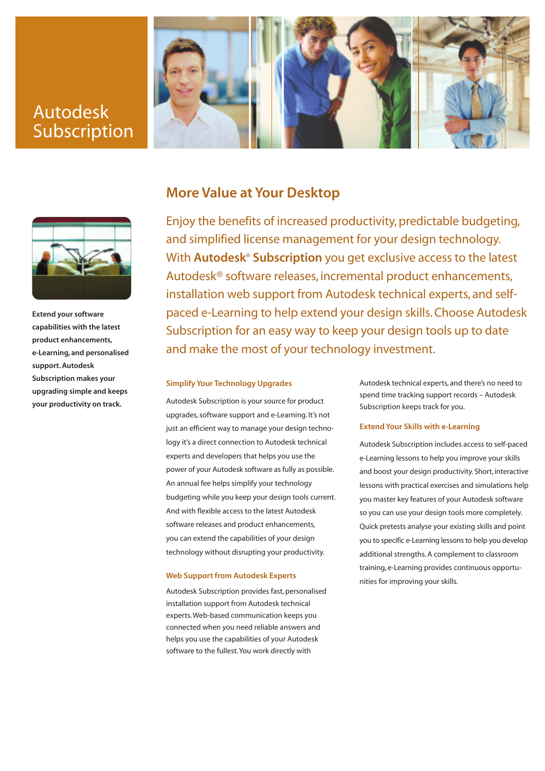# Autodesk Subscription





**Extend your software capabilities with the latest product enhancements, e-Learning, and personalised support. Autodesk Subscription makes your upgrading simple and keeps your productivity on track.**

## **More Value at Your Desktop**

Enjoy the benefits of increased productivity, predictable budgeting, and simplified license management for your design technology. With **Autodesk® Subscription** you get exclusive access to the latest Autodesk® software releases, incremental product enhancements, installation web support from Autodesk technical experts, and selfpaced e-Learning to help extend your design skills. Choose Autodesk Subscription for an easy way to keep your design tools up to date and make the most of your technology investment.

#### **Simplify Your Technology Upgrades**

Autodesk Subscription is your source for product upgrades, software support and e-Learning. It's not just an efficient way to manage your design technology it's a direct connection to Autodesk technical experts and developers that helps you use the power of your Autodesk software as fully as possible. An annual fee helps simplify your technology budgeting while you keep your design tools current. And with flexible access to the latest Autodesk software releases and product enhancements, you can extend the capabilities of your design technology without disrupting your productivity.

#### **Web Support from Autodesk Experts**

Autodesk Subscription provides fast, personalised installation support from Autodesk technical experts.Web-based communication keeps you connected when you need reliable answers and helps you use the capabilities of your Autodesk software to the fullest.You work directly with

Autodesk technical experts, and there's no need to spend time tracking support records – Autodesk Subscription keeps track for you.

#### **Extend Your Skills with e-Learning**

Autodesk Subscription includes access to self-paced e-Learning lessons to help you improve your skills and boost your design productivity. Short, interactive lessons with practical exercises and simulations help you master key features of your Autodesk software so you can use your design tools more completely. Quick pretests analyse your existing skills and point you to specific e-Learning lessons to help you develop additional strengths. A complement to classroom training, e-Learning provides continuous opportunities for improving your skills.